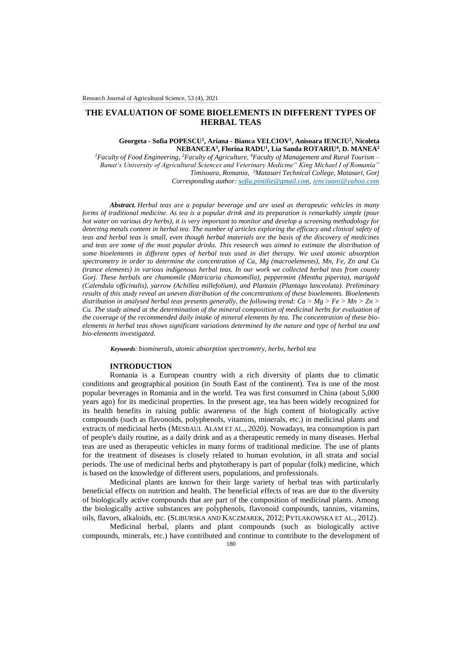# **THE EVALUATION OF SOME BIOELEMENTS IN DIFFERENT TYPES OF HERBAL TEAS**

### **Georgeta - Sofia POPESCU<sup>1</sup> , Ariana - Bianca VELCIOV<sup>1</sup> , Anisoara IENCIU<sup>2</sup> , Nicoleta NEBANCEA<sup>3</sup> , Florina RADU<sup>1</sup> , Lia Sanda ROTARIU<sup>4</sup> , D. MANEA<sup>2</sup>**

*<sup>1</sup>Faculty of Food Engineering, <sup>2</sup>Faculty of Agriculture, <sup>4</sup>Faculty of Management and Rural Tourism – Banat's University of Agricultural Sciences and Veterinary Medicine" King Michael I of Romania" Timisoara, Romania, <sup>3</sup>Matasari Technical College, Matasari, Gorj Corresponding author[: sofia.pintilie@gmail.com,](mailto:sofia.pintilie@gmail.com) [ienciuani@yahoo.com](mailto:ienciuani@yahoo.com)*

*Abstract. Herbal teas are a popular beverage and are used as therapeutic vehicles in many forms of traditional medicine. As tea is a popular drink and its preparation is remarkably simple (pour hot water on various dry herbs), it is very important to monitor and develop a screening methodology for detecting metals content in herbal tea. The number of articles exploring the efficacy and clinical safety of teas and herbal teas is small, even though herbal materials are the basis of the discovery of medicines and teas are some of the most popular drinks. This research was aimed to estimate the distribution of some bioelements in different types of herbal teas used in diet therapy. We used atomic absorption spectrometry in order to determine the concentration of Ca, Mg (macroelements), Mn, Fe, Zn and Cu (trance elements) in various indigenous herbal teas. In our work we collected herbal teas from county Gorj. These herbals are chamomile (Matricaria chamomilla), peppermint (Mentha piperita), marigold (Calendula officinalis), yarrow (Achillea millefolium), and Plantain (Plantago lanceolata). Preliminary results of this study reveal an uneven distribution of the concentrations of these bioelements. Bioelements distribution in analysed herbal teas presents generally, the following trend: Ca > Mg > Fe > Mn > Zn > Cu. The study aimed at the determination of the mineral composition of medicinal herbs for evaluation of the coverage of the recommended daily intake of mineral elements by tea. The concentration of these bioelements in herbal teas shows significant variations determined by the nature and type of herbal tea and bio-elements investigated.*

*Keywords: biominerals, atomic absorption spectrometry, herbs, herbal tea*

#### **INTRODUCTION**

Romania is a European country with a rich diversity of plants due to climatic conditions and geographical position (in South East of the continent). Tea is one of the most popular beverages in Romania and in the world. Tea was first consumed in China (about 5,000 years ago) for its medicinal properties. In the present age, tea has been widely recognized for its health benefits in raising public awareness of the high content of biologically active compounds (such as flavonoids, polyphenols, vitamins, minerals, etc.) in medicinal plants and extracts of medicinal herbs (MESBAUL ALAM ET AL., 2020). Nowadays, tea consumption is part of people's daily routine, as a daily drink and as a therapeutic remedy in many diseases. Herbal teas are used as therapeutic vehicles in many forms of traditional medicine. The use of plants for the treatment of diseases is closely related to human evolution, in all strata and social periods. The use of medicinal herbs and phytotherapy is part of popular (folk) medicine, which is based on the knowledge of different users, populations, and professionals.

Medicinal plants are known for their large variety of herbal teas with particularly beneficial effects on nutrition and health. The beneficial effects of teas are due to the diversity of biologically active compounds that are part of the composition of medicinal plants. Among the biologically active substances are polyphenols, flavonoid compounds, tannins, vitamins, oils, flavors, alkaloids, etc. (SLIBURSKA AND KACZMAREK, 2012; PYTLAKOWSKA ET AL., 2012).

Medicinal herbal, plants and plant compounds (such as biologically active compounds, minerals, etc.) have contributed and continue to contribute to the development of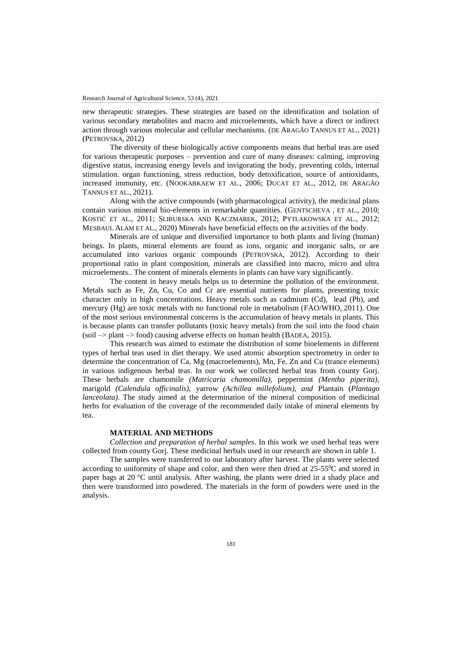new therapeutic strategies. These strategies are based on the identification and isolation of various secondary metabolites and macro and microelements, which have a direct or indirect action through various molecular and cellular mechanisms. (DE ARAGÃO TANNUS ET AL., 2021) (PETROVSKA, 2012)

The diversity of these biologically active components means that herbal teas are used for various therapeutic purposes – prevention and cure of many diseases: calming, improving digestive status, increasing energy levels and invigorating the body, preventing colds, internal stimulation. organ functioning, stress reduction, body detoxification, source of antioxidants, increased immunity, etc. (NOOKABKAEW ET AL., 2006; D[UCAT](http://scialert.net/asci/author.php?author=Giseli&last=Ducat) ET AL., 2012, DE ARAGÃO TANNUS ET AL., 2021).

Along with the active compounds (with pharmacological activity), the medicinal plans contain various mineral bio-elements in remarkable quantities. (GENTSCHEVA , ET AL., 2010; KOSTIĆ ET AL., 2011; SLIBURSKA AND KACZMAREK, 2012; PYTLAKOWSKA ET AL., 2012; MESBAUL ALAM ET AL., 2020) Minerals have beneficial effects on the activities of the body.

Minerals are of unique and diversified importance to both plants and living (human) beings. In plants, mineral elements are found as ions, organic and inorganic salts, or are accumulated into various organic compounds (PETROVSKA, 2012). According to their proportional ratio in plant composition, minerals are classified into macro, micro and ultra microelements.. The content of minerals elements in plants can have vary significantly.

The content in heavy metals helps us to determine the pollution of the environment. Metals such as Fe, Zn, Cu, Co and Cr are essential nutrients for plants, presenting toxic character only in high concentrations. Heavy metals such as cadmium (Cd), lead (Pb), and mercury (Hg) are toxic metals with no functional role in metabolism (FAO/WHO, 2011). One of the most serious environmental concerns is the accumulation of heavy metals in plants. This is because plants can transfer pollutants (toxic heavy metals) from the soil into the food chain  $(soil \rightarrow plant \rightarrow food)$  causing adverse effects on human health (BADEA, 2015).

This research was aimed to estimate the distribution of some bioelements in different types of herbal teas used in diet therapy. We used atomic absorption spectrometry in order to determine the concentration of Ca, Mg (macroelements), Mn, Fe, Zn and Cu (trance elements) in various indigenous herbal teas. In our work we collected herbal teas from county Gorj. These herbals are chamomile *(Matricaria chamomilla),* peppermint *(Mentha piperita),*  marigold *(Calendula officinalis),* yarrow *(Achillea millefolium), and* Plantain (*Plantago lanceolata)*. The study aimed at the determination of the mineral composition of medicinal herbs for evaluation of the coverage of the recommended daily intake of mineral elements by tea.

### **MATERIAL AND METHODS**

*Collection and preparation of herbal samples*. In this work we used herbal teas were collected from county Gorj. These medicinal herbals used in our research are shown in table 1.

The samples were transferred to our laboratory after harvest. The plants were selected according to uniformity of shape and color, and then were then dried at  $25-55^{\circ}$ C and stored in paper bags at 20 °C until analysis. After washing, the plants were dried in a shady place and then were transformed into powdered. The materials in the form of powders were used in the analysis.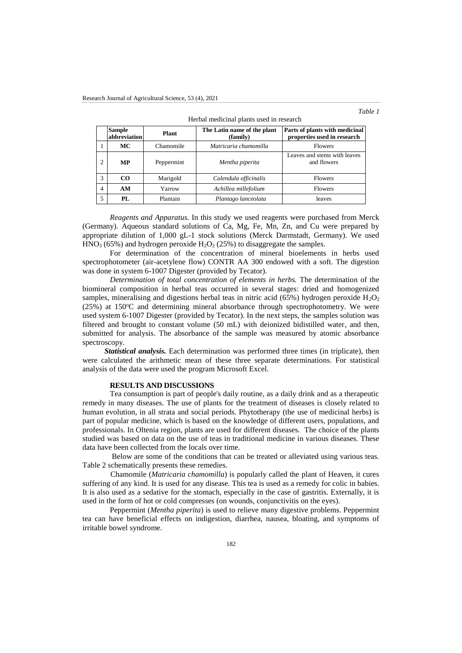## *Table 1*

|                | Herbal medicinal plants used in research |            |                                         |                                                               |  |  |  |  |  |
|----------------|------------------------------------------|------------|-----------------------------------------|---------------------------------------------------------------|--|--|--|--|--|
|                | <b>Sample</b><br>Plant<br>abbreviation   |            | The Latin name of the plant<br>(family) | Parts of plants with medicinal<br>properties used in research |  |  |  |  |  |
| 1              | МC                                       | Chamomile  | Matricaria chamomilla                   | <b>Flowers</b>                                                |  |  |  |  |  |
| $\overline{c}$ | MP                                       | Peppermint | Mentha piperita                         | Leaves and stems with leaves<br>and flowers                   |  |  |  |  |  |
| 3              | CO                                       | Marigold   | Calendula officinalis                   | Flowers                                                       |  |  |  |  |  |
| $\overline{4}$ | AM                                       | Yarrow     | Achillea millefolium                    | Flowers                                                       |  |  |  |  |  |
| 5              | PL                                       | Plantain   | Plantago lanceolata                     | leaves                                                        |  |  |  |  |  |

*Reagents and Apparatus.* In this study we used reagents were purchased from Merck (Germany). Aqueous standard solutions of Ca, Mg, Fe, Mn, Zn, and Cu were prepared by appropriate dilution of 1,000 gL-1 stock solutions (Merck Darmstadt, Germany). We used  $HNO<sub>3</sub>$  (65%) and hydrogen peroxide  $H<sub>2</sub>O<sub>2</sub>$  (25%) to disaggregate the samples.

For determination of the concentration of mineral bioelements in herbs used spectrophotometer (air-acetylene flow) CONTR AA 300 endowed with a soft. The digestion was done in system 6-1007 Digester (provided by Tecator).

*Determination of total concentration of elements in herbs.* The determination of the biomineral composition in herbal teas occurred in several stages: dried and homogenized samples, mineralising and digestions herbal teas in nitric acid (65%) hydrogen peroxide  $H_2O_2$  $(25%)$  at  $150°C$  and determining mineral absorbance through spectrophotometry. We were used system 6-1007 Digester (provided by Tecator). In the next steps, the samples solution was filtered and brought to constant volume (50 mL) with deionized bidistilled water, and then, submitted for analysis. The absorbance of the sample was measured by atomic absorbance spectroscopy.

*Statistical analysis.* Each determination was performed three times (in triplicate), then were calculated the arithmetic mean of these three separate determinations. For statistical analysis of the data were used the program Microsoft Excel.

### **RESULTS AND DISCUSSIONS**

Tea consumption is part of people's daily routine, as a daily drink and as a therapeutic remedy in many diseases. The use of plants for the treatment of diseases is closely related to human evolution, in all strata and social periods. Phytotherapy (the use of medicinal herbs) is part of popular medicine, which is based on the knowledge of different users, populations, and professionals. In Oltenia region, plants are used for different diseases. The choice of the plants studied was based on data on the use of teas in traditional medicine in various diseases. These data have been collected from the locals over time.

Below are some of the conditions that can be treated or alleviated using various teas. Table 2 schematically presents these remedies.

Chamomile (*Matricaria chamomilla*) is popularly called the plant of Heaven, it cures suffering of any kind. It is used for any disease. This tea is used as a remedy for colic in babies. It is also used as a sedative for the stomach, especially in the case of gastritis. Externally, it is used in the form of hot or cold compresses (on wounds, conjunctivitis on the eyes).

Peppermint (*Mentha piperita*) is used to relieve many digestive problems. Peppermint tea can have beneficial effects on indigestion, diarrhea, nausea, bloating, and symptoms of irritable bowel syndrome.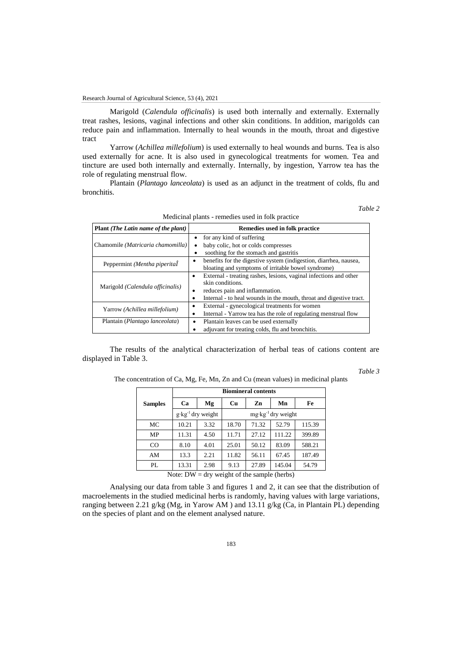### Research Journal of Agricultural Science, 53 (4), 2021

Marigold (*Calendula officinalis*) is used both internally and externally. Externally treat rashes, lesions, vaginal infections and other skin conditions. In addition, marigolds can reduce pain and inflammation. Internally to heal wounds in the mouth, throat and digestive tract

Yarrow (*Achillea millefolium*) is used externally to heal wounds and burns. Tea is also used externally for acne. It is also used in gynecological treatments for women. Tea and tincture are used both internally and externally. Internally, by ingestion, Yarrow tea has the role of regulating menstrual flow.

Plantain (*Plantago lanceolata*) is used as an adjunct in the treatment of colds, flu and bronchitis.

*Table 2*

| Plant ( <i>The Latin name of the plant</i> ) | Remedies used in folk practice                                      |  |  |  |  |
|----------------------------------------------|---------------------------------------------------------------------|--|--|--|--|
|                                              | for any kind of suffering<br>٠                                      |  |  |  |  |
| Chamomile (Matricaria chamomilla)            | baby colic, hot or colds compresses<br>$\bullet$                    |  |  |  |  |
|                                              | soothing for the stomach and gastritis                              |  |  |  |  |
| Peppermint (Mentha piperital                 | benefits for the digestive system (indigestion, diarrhea, nausea,   |  |  |  |  |
|                                              | bloating and symptoms of irritable bowel syndrome)                  |  |  |  |  |
|                                              | External - treating rashes, lesions, vaginal infections and other   |  |  |  |  |
| Marigold (Calendula officinalis)             | skin conditions.                                                    |  |  |  |  |
|                                              | reduces pain and inflammation.<br>٠                                 |  |  |  |  |
|                                              | Internal - to heal wounds in the mouth, throat and digestive tract. |  |  |  |  |
| Yarrow (Achillea millefolium)                | External - gynecological treatments for women                       |  |  |  |  |
|                                              | Internal - Yarrow tea has the role of regulating menstrual flow     |  |  |  |  |
| Plantain (Plantago lanceolata)               | Plantain leaves can be used externally                              |  |  |  |  |
|                                              | adjuvant for treating colds, flu and bronchitis.                    |  |  |  |  |

| Medicinal plants - remedies used in folk practice |  |  |  |
|---------------------------------------------------|--|--|--|
|---------------------------------------------------|--|--|--|

The results of the analytical characterization of herbal teas of cations content are displayed in Table 3.

*Table 3*

| The concentration of Ca, Mg, Fe, Mn, Zn and Cu (mean values) in medicinal plants |  |  |  |  |  |  |  |  |  |  |  |  |
|----------------------------------------------------------------------------------|--|--|--|--|--|--|--|--|--|--|--|--|
|----------------------------------------------------------------------------------|--|--|--|--|--|--|--|--|--|--|--|--|

|                                                      | <b>Biomineral contents</b> |                                  |                               |       |        |        |  |  |  |  |  |
|------------------------------------------------------|----------------------------|----------------------------------|-------------------------------|-------|--------|--------|--|--|--|--|--|
| <b>Samples</b>                                       | Ca                         | Mg                               | <b>Cu</b>                     | Fe    |        |        |  |  |  |  |  |
|                                                      |                            | $g$ ·kg <sup>-1</sup> dry weight | $mg \cdot kg^{-1}$ dry weight |       |        |        |  |  |  |  |  |
| МC                                                   | 10.21                      | 3.32                             | 18.70                         | 71.32 | 52.79  | 115.39 |  |  |  |  |  |
| MP                                                   | 11.31                      | 4.50                             | 11.71                         | 27.12 | 111.22 | 399.89 |  |  |  |  |  |
| $_{\rm CO}$                                          | 8.10                       | 4.01                             | 25.01                         | 50.12 | 83.09  | 588.21 |  |  |  |  |  |
| AM                                                   | 13.3                       | 2.21                             | 11.82                         | 56.11 | 67.45  | 187.49 |  |  |  |  |  |
| PL                                                   | 13.31<br>2.98              |                                  | 9.13                          | 27.89 | 145.04 | 54.79  |  |  |  |  |  |
| Note: $DW = \text{dry weight of the sample (herbs)}$ |                            |                                  |                               |       |        |        |  |  |  |  |  |

Analysing our data from table 3 and figures 1 and 2, it can see that the distribution of macroelements in the studied medicinal herbs is randomly, having values with large variations, ranging between 2.21 g/kg (Mg, in Yarow AM ) and 13.11 g/kg (Ca, in Plantain PL) depending on the species of plant and on the element analysed nature.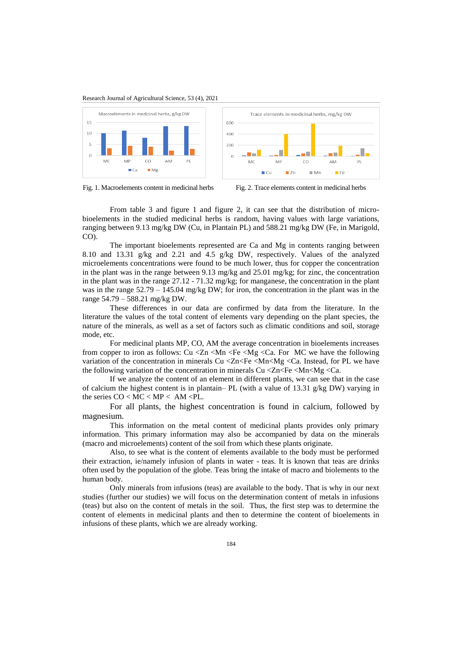Research Journal of Agricultural Science, 53 (4), 2021





**AM** 

 $E$ Fe

 $PL$ 

From table 3 and figure 1 and figure 2, it can see that the distribution of microbioelements in the studied medicinal herbs is random, having values with large variations, ranging between 9.13 mg/kg DW (Cu, in Plantain PL) and 588.21 mg/kg DW (Fe, in Marigold, CO).

The important bioelements represented are Ca and Mg in contents ranging between 8.10 and 13.31 g/kg and 2.21 and 4.5 g/kg DW, respectively. Values of the analyzed microelements concentrations were found to be much lower, thus for copper the concentration in the plant was in the range between 9.13 mg/kg and 25.01 mg/kg; for zinc, the concentration in the plant was in the range 27.12 - 71.32 mg/kg; for manganese, the concentration in the plant was in the range  $52.79 - 145.04$  mg/kg DW; for iron, the concentration in the plant was in the range 54.79 – 588.21 mg/kg DW.

These differences in our data are confirmed by data from the literature. In the literature the values of the total content of elements vary depending on the plant species, the nature of the minerals, as well as a set of factors such as climatic conditions and soil, storage mode, etc.

For medicinal plants MP, CO, AM the average concentration in bioelements increases from copper to iron as follows: Cu <Zn <Mn <Fe <Mg <Ca. For MC we have the following variation of the concentration in minerals Cu  $\langle Zn|\langle Fe|\langle Mn|\rangle\rangle$   $\langle Ca, In\n the$  for PL we have the following variation of the concentration in minerals  $Cu < Zn < Fe < Mn < Mg < Ca$ .

If we analyze the content of an element in different plants, we can see that in the case of calcium the highest content is in plantain– PL (with a value of 13.31 g/kg DW) varying in the series  $CO < MC < MP < AM < PL$ .

For all plants, the highest concentration is found in calcium, followed by magnesium.

This information on the metal content of medicinal plants provides only primary information. This primary information may also be accompanied by data on the minerals (macro and microelements) content of the soil from which these plants originate.

Also, to see what is the content of elements available to the body must be performed their extraction, ie/namely infusion of plants in water - teas. It is known that teas are drinks often used by the population of the globe. Teas bring the intake of macro and biolements to the human body.

Only minerals from infusions (teas) are available to the body. That is why in our next studies (further our studies) we will focus on the determination content of metals in infusions (teas) but also on the content of metals in the soil. Thus, the first step was to determine the content of elements in medicinal plants and then to determine the content of bioelements in infusions of these plants, which we are already working.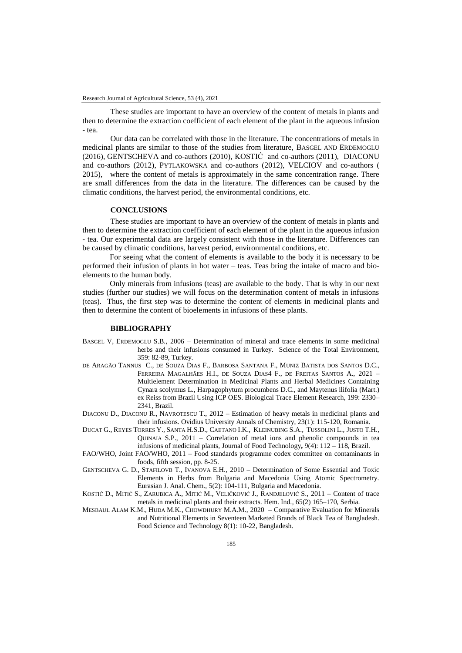These studies are important to have an overview of the content of metals in plants and then to determine the extraction coefficient of each element of the plant in the aqueous infusion - tea.

Our data can be correlated with those in the literature. The concentrations of metals in medicinal plants are similar to those of the studies from literature, BASGEL AND ERDEMOGLU (2016), GENTSCHEVA and co-authors (2010), KOSTIĆ and co-authors (2011), DIACONU and co-authors (2012), PYTLAKOWSKA and co-authors (2012), VELCIOV and co-authors ( 2015), where the content of metals is approximately in the same concentration range. There are small differences from the data in the literature. The differences can be caused by the climatic conditions, the harvest period, the environmental conditions, etc.

### **CONCLUSIONS**

These studies are important to have an overview of the content of metals in plants and then to determine the extraction coefficient of each element of the plant in the aqueous infusion - tea. Our experimental data are largely consistent with those in the literature. Differences can be caused by climatic conditions, harvest period, environmental conditions, etc.

For seeing what the content of elements is available to the body it is necessary to be performed their infusion of plants in hot water – teas. Teas bring the intake of macro and bioelements to the human body.

Only minerals from infusions (teas) are available to the body. That is why in our next studies (further our studies) we will focus on the determination content of metals in infusions (teas). Thus, the first step was to determine the content of elements in medicinal plants and then to determine the content of bioelements in infusions of these plants.

#### **BIBLIOGRAPHY**

- BASGEL V, ERDEMOGLU S.B., 2006 Determination of mineral and trace elements in some medicinal herbs and their infusions consumed in Turkey. Science of the Total Environment, 359: 82-89, Turkey.
- DE ARAGÃO TANNUS C., DE SOUZA DIAS F., BARBOSA SANTANA F., MUNIZ BATISTA DOS SANTOS D.C., FERREIRA MAGALHÃES H.I., DE SOUZA DIAS4 F., DE FREITAS SANTOS A., 2021 – Multielement Determination in Medicinal Plants and Herbal Medicines Containing Cynara scolymus L., Harpagophytum procumbens D.C., and Maytenus ilifolia (Mart.) ex Reiss from Brazil Using ICP OES. Biological Trace Element Research, 199: 2330– 2341, Brazil.
- DIACONU D., DIACONU R., NAVROTESCU T., 2012 Estimation of heavy metals in medicinal plants and their infusions. Ovidius University Annals of Chemistry, 23(1): 115-120, Romania.
- DUCAT G., REYES TORRES Y., SANTA H.S.D., CAETANO I.K., KLEINUBING S.A., TUSSOLINI L., JUSTO T.H., QUINAIA S.P., 2011 – Correlation of metal ions and phenolic compounds in tea infusions of medicinal plants, Journal of Food Technology**,** 9(4): 112 – 118, Brazil.
- FAO/WHO, Joint FAO/WHO, 2011 Food standards programme codex committee on contaminants in foods, fifth session, pp. 8-25.
- GENTSCHEVA G. D., STAFILOVB T., IVANOVA E.H., 2010 Determination of Some Essential and Toxic Elements in Herbs from Bulgaria and Macedonia Using Atomic Spectrometry. Eurasian J. Anal. Chem., 5(2): 104-111, Bulgaria and Macedonia.
- KOSTIĆ D., MITIĆ S., ZARUBICA A., MITIĆ M., VELIČKOVIĆ J., RANDJELOVIĆ S., 2011 Content of trace metals in medicinal plants and their extracts. Hem. Ind*.,* 65(2) 165–170, Serbia.
- MESBAUL ALAM K.M., HUDA M.K., CHOWDHURY M.A.M., 2020 Comparative Evaluation for Minerals and Nutritional Elements in Seventeen Marketed Brands of Black Tea of Bangladesh. Food Science and Technology 8(1): 10-22, Bangladesh.